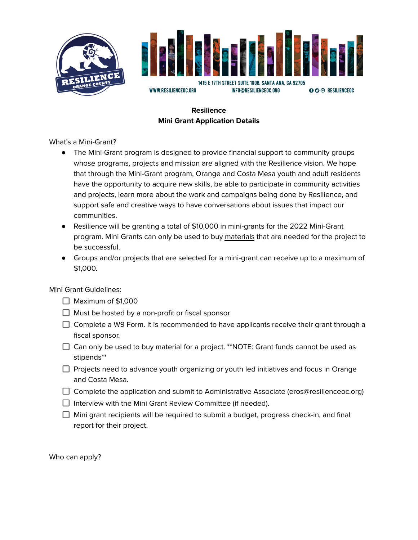



# **Resilience Mini Grant Application Details**

What's a Mini-Grant?

- The Mini-Grant program is designed to provide financial support to community groups whose programs, projects and mission are aligned with the Resilience vision. We hope that through the Mini-Grant program, Orange and Costa Mesa youth and adult residents have the opportunity to acquire new skills, be able to participate in community activities and projects, learn more about the work and campaigns being done by Resilience, and support safe and creative ways to have conversations about issues that impact our communities.
- Resilience will be granting a total of \$10,000 in mini-grants for the 2022 Mini-Grant program. Mini Grants can only be used to buy materials that are needed for the project to be successful.
- Groups and/or projects that are selected for a mini-grant can receive up to a maximum of \$1,000.

Mini Grant Guidelines:

- $\Box$  Maximum of \$1,000
- $\Box$  Must be hosted by a non-profit or fiscal sponsor
- $\Box$  Complete a W9 Form. It is recommended to have applicants receive their grant through a fiscal sponsor.
- $\Box$  Can only be used to buy material for a project. \*\*NOTE: Grant funds cannot be used as stipends\*\*
- $\Box$  Projects need to advance youth organizing or youth led initiatives and focus in Orange and Costa Mesa.
- $\Box$  Complete the application and submit to Administrative Associate (eros@resilienceoc.org)
- $\Box$  Interview with the Mini Grant Review Committee (if needed).
- $\Box$  Mini grant recipients will be required to submit a budget, progress check-in, and final report for their project.

Who can apply?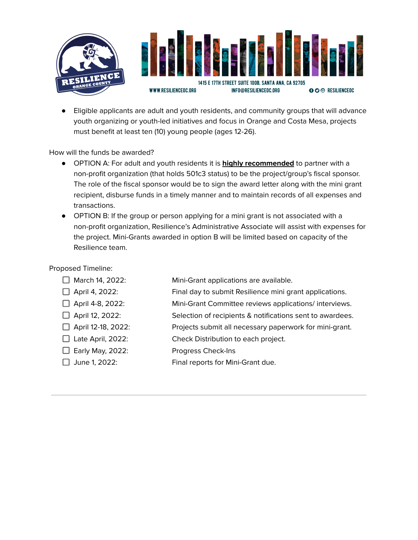

● Eligible applicants are adult and youth residents, and community groups that will advance youth organizing or youth-led initiatives and focus in Orange and Costa Mesa, projects must benefit at least ten (10) young people (ages 12-26).

How will the funds be awarded?

- OPTION A: For adult and youth residents it is **highly recommended** to partner with a non-profit organization (that holds 501c3 status) to be the project/group's fiscal sponsor. The role of the fiscal sponsor would be to sign the award letter along with the mini grant recipient, disburse funds in a timely manner and to maintain records of all expenses and transactions.
- OPTION B: If the group or person applying for a mini grant is not associated with a non-profit organization, Resilience's Administrative Associate will assist with expenses for the project. Mini-Grants awarded in option B will be limited based on capacity of the Resilience team.

## Proposed Timeline:

| March 14, 2022:           | Mini-Grant applications are available.                    |
|---------------------------|-----------------------------------------------------------|
| $\Box$ April 4, 2022:     | Final day to submit Resilience mini grant applications.   |
| $\Box$ April 4-8, 2022:   | Mini-Grant Committee reviews applications/ interviews.    |
| $\Box$ April 12, 2022:    | Selection of recipients & notifications sent to awardees. |
| $\Box$ April 12-18, 2022: | Projects submit all necessary paperwork for mini-grant.   |
| $\Box$ Late April, 2022:  | Check Distribution to each project.                       |
| $\Box$ Early May, 2022:   | Progress Check-Ins                                        |
| June 1, 2022:             | Final reports for Mini-Grant due.                         |
|                           |                                                           |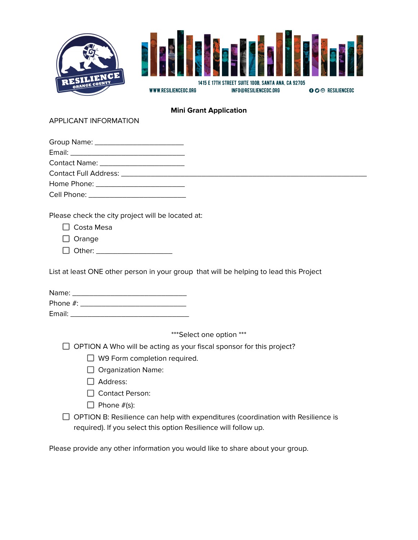

### **Mini Grant Application**

#### APPLICANT INFORMATION

| Group Name: ____________________________ |  |
|------------------------------------------|--|
|                                          |  |
| Contact Name: ________________________   |  |
|                                          |  |
|                                          |  |

Cell Phone: \_\_\_\_\_\_\_\_\_\_\_\_\_\_\_\_\_\_\_\_\_\_\_

Please check the city project will be located at:

| Costa Mesa |  |
|------------|--|
|------------|--|

 $\Box$  Orange

D Other: \_\_\_\_\_\_\_\_\_\_\_\_\_\_\_\_\_\_\_\_\_\_\_\_\_

List at least ONE other person in your group that will be helping to lead this Project

| Name:       |  |  |  |
|-------------|--|--|--|
| Phone $#$ : |  |  |  |

Email:  $\blacksquare$ 

\*\*\*Select one option \*\*\*

 $\Box$  OPTION A Who will be acting as your fiscal sponsor for this project?

□ W9 Form completion required.

 $\Box$  Organization Name:

□ Address:

□ Contact Person:

 $\Box$  Phone  $#(s)$ :

 $\Box$  OPTION B: Resilience can help with expenditures (coordination with Resilience is required). If you select this option Resilience will follow up.

Please provide any other information you would like to share about your group.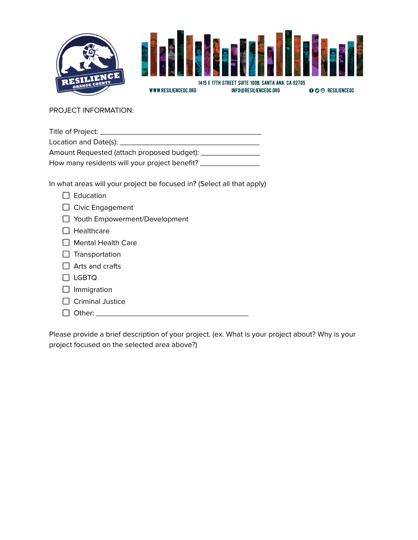

PROJECT INFORMATION:

| Title of Project: ____                        |
|-----------------------------------------------|
| Location and Date(s): _____                   |
| Amount Requested (attach proposed budget): _  |
| How many residents will your project benefit? |

In what areas will your project be focused in? (Select all that apply)

| Education                       |
|---------------------------------|
| $\Box$ Civic Engagement         |
| □ Youth Empowerment/Development |
| Healthcare                      |
| $\Box$ Mental Health Care       |
| $\Box$ Transportation           |
| $\Box$ Arts and crafts          |
| ∃ LGBTQ                         |
| $\Box$ Immigration              |
| <b>Criminal Justice</b>         |
| Other:                          |
|                                 |

Please provide a brief description of your project. (ex. What is your project about? Why is your project focused on the selected area above?)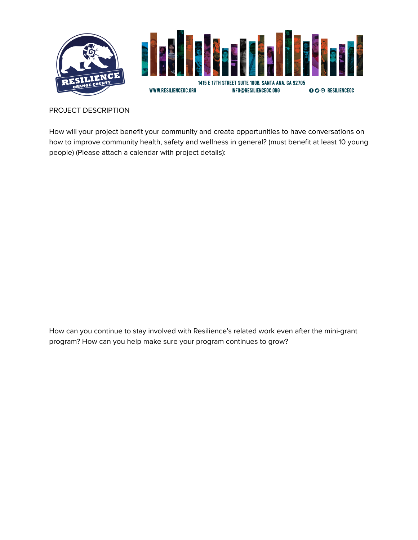

## PROJECT DESCRIPTION

How will your project benefit your community and create opportunities to have conversations on how to improve community health, safety and wellness in general? (must benefit at least 10 young people) (Please attach a calendar with project details):

How can you continue to stay involved with Resilience's related work even after the mini-grant program? How can you help make sure your program continues to grow?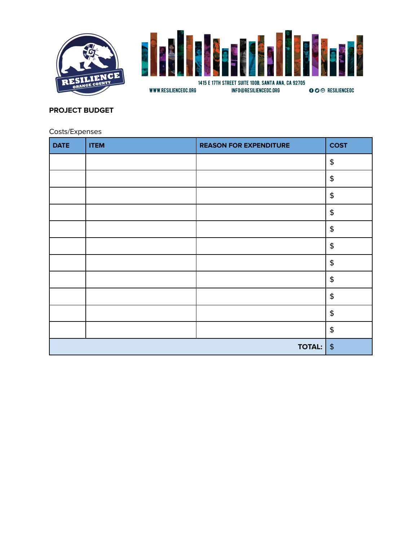



# **PROJECT BUDGET**

Costs/Expenses

| <b>DATE</b> | <b>ITEM</b> | <b>REASON FOR EXPENDITURE</b> | <b>COST</b>                            |
|-------------|-------------|-------------------------------|----------------------------------------|
|             |             |                               | $\pmb{\$}$                             |
|             |             |                               | $\pmb{\$}$                             |
|             |             |                               | $\pmb{\mathsf{\$}}$                    |
|             |             |                               | $\pmb{\mathsf{\$}}$                    |
|             |             |                               | $\pmb{\mathfrak{\mathfrak{P}}}$        |
|             |             |                               | $\spadesuit$                           |
|             |             |                               | $\boldsymbol{\boldsymbol{\hat{\tau}}}$ |
|             |             |                               | $\pmb{\mathsf{\$}}$                    |
|             |             |                               | $\boldsymbol{\boldsymbol{\hat{\tau}}}$ |
|             |             |                               | $\boldsymbol{\boldsymbol{\hat{\tau}}}$ |
|             |             |                               | $\boldsymbol{\boldsymbol{\hat{\tau}}}$ |
|             |             | <b>TOTAL:</b>                 | $\frac{4}{5}$                          |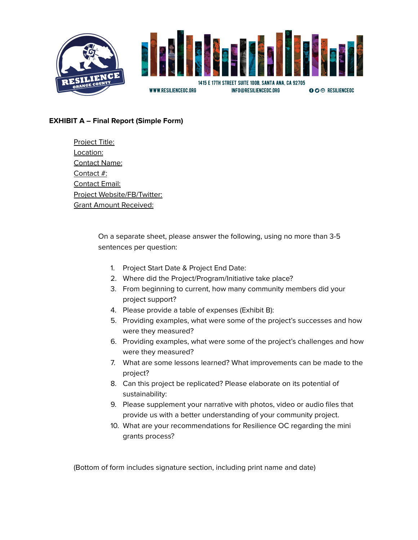

## **EXHIBIT A – Final Report (Simple Form)**

Project Title: Location: Contact Name: Contact #: Contact Email: Project Website/FB/Twitter: Grant Amount Received:

> On a separate sheet, please answer the following, using no more than 3-5 sentences per question:

- 1. Project Start Date & Project End Date:
- 2. Where did the Project/Program/Initiative take place?
- 3. From beginning to current, how many community members did your project support?
- 4. Please provide a table of expenses (Exhibit B):
- 5. Providing examples, what were some of the project's successes and how were they measured?
- 6. Providing examples, what were some of the project's challenges and how were they measured?
- 7. What are some lessons learned? What improvements can be made to the project?
- 8. Can this project be replicated? Please elaborate on its potential of sustainability:
- 9. Please supplement your narrative with photos, video or audio files that provide us with a better understanding of your community project.
- 10. What are your recommendations for Resilience OC regarding the mini grants process?

(Bottom of form includes signature section, including print name and date)